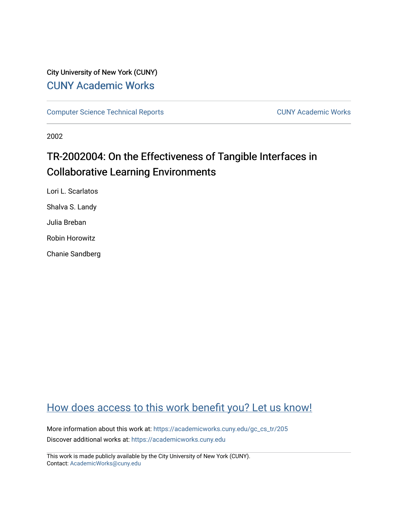# City University of New York (CUNY) [CUNY Academic Works](https://academicworks.cuny.edu/)

[Computer Science Technical Reports](https://academicworks.cuny.edu/gc_cs_tr) **CUNY Academic Works** CUNY Academic Works

2002

# TR-2002004: On the Effectiveness of Tangible Interfaces in Collaborative Learning Environments

Lori L. Scarlatos Shalva S. Landy Julia Breban Robin Horowitz Chanie Sandberg

# [How does access to this work benefit you? Let us know!](http://ols.cuny.edu/academicworks/?ref=https://academicworks.cuny.edu/gc_cs_tr/205)

More information about this work at: [https://academicworks.cuny.edu/gc\\_cs\\_tr/205](https://academicworks.cuny.edu/gc_cs_tr/205)  Discover additional works at: [https://academicworks.cuny.edu](https://academicworks.cuny.edu/?)

This work is made publicly available by the City University of New York (CUNY). Contact: [AcademicWorks@cuny.edu](mailto:AcademicWorks@cuny.edu)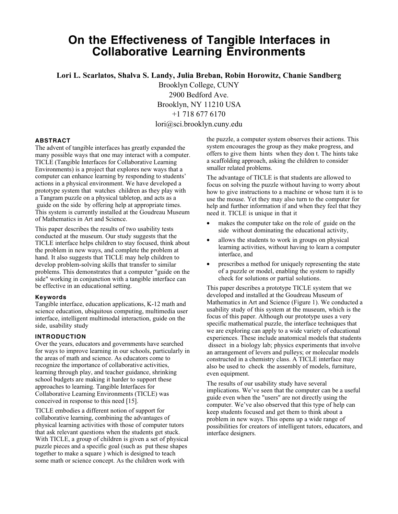# **On the Effectiveness of Tangible Interfaces in Collaborative Learning Environments**

**Lori L. Scarlatos, Shalva S. Landy, Julia Breban, Robin Horowitz, Chanie Sandberg**

Brooklyn College, CUNY 2900 Bedford Ave. Brooklyn, NY 11210 USA +1 718 677 6170 lori@sci.brooklyn.cuny.edu

# **ABSTRACT**

The advent of tangible interfaces has greatly expanded the many possible ways that one may interact with a computer. TICLE (Tangible Interfaces for Collaborative Learning Environments) is a project that explores new ways that a computer can enhance learning by responding to students' actions in a physical environment. We have developed a prototype system that watches children as they play with a Tangram puzzle on a physical tabletop, and acts as a guide on the side by offering help at appropriate times. This system is currently installed at the Goudreau Museum of Mathematics in Art and Science.

This paper describes the results of two usability tests conducted at the museum. Our study suggests that the TICLE interface helps children to stay focused, think about the problem in new ways, and complete the problem at hand. It also suggests that TICLE may help children to develop problem-solving skills that transfer to similar problems. This demonstrates that a computer "guide on the side" working in conjunction with a tangible interface can be effective in an educational setting.

### **Keywords**

Tangible interface, education applications, K-12 math and science education, ubiquitous computing, multimedia user interface, intelligent multimodal interaction, guide on the side, usability study

# **INTRODUCTION**

Over the years, educators and governments have searched for ways to improve learning in our schools, particularly in the areas of math and science. As educators come to recognize the importance of collaborative activities, learning through play, and teacher guidance, shrinking school budgets are making it harder to support these approaches to learning. Tangible Interfaces for Collaborative Learning Environments (TICLE) was conceived in response to this need [15].

TICLE embodies a different notion of support for collaborative learning, combining the advantages of physical learning activities with those of computer tutors that ask relevant questions when the students get stuck. With TICLE, a group of children is given a set of physical puzzle pieces and a specific goal (such as put these shapes together to make a square ) which is designed to teach some math or science concept. As the children work with

the puzzle, a computer system observes their actions. This system encourages the group as they make progress, and offers to give them hints when they don t. The hints take a scaffolding approach, asking the children to consider smaller related problems.

The advantage of TICLE is that students are allowed to focus on solving the puzzle without having to worry about how to give instructions to a machine or whose turn it is to use the mouse. Yet they may also turn to the computer for help and further information if and when they feel that they need it. TICLE is unique in that it

- makes the computer take on the role of guide on the side without dominating the educational activity,
- allows the students to work in groups on physical learning activities, without having to learn a computer interface, and
- prescribes a method for uniquely representing the state of a puzzle or model, enabling the system to rapidly check for solutions or partial solutions.

This paper describes a prototype TICLE system that we developed and installed at the Goudreau Museum of Mathematics in Art and Science (Figure 1). We conducted a usability study of this system at the museum, which is the focus of this paper. Although our prototype uses a very specific mathematical puzzle, the interface techniques that we are exploring can apply to a wide variety of educational experiences. These include anatomical models that students dissect in a biology lab; physics experiments that involve an arrangement of levers and pulleys; or molecular models constructed in a chemistry class. A TICLE interface may also be used to check the assembly of models, furniture, even equipment.

The results of our usability study have several implications. We've seen that the computer can be a useful guide even when the "users" are not directly using the computer. We've also observed that this type of help can keep students focused and get them to think about a problem in new ways. This opens up a wide range of possibilities for creators of intelligent tutors, educators, and interface designers.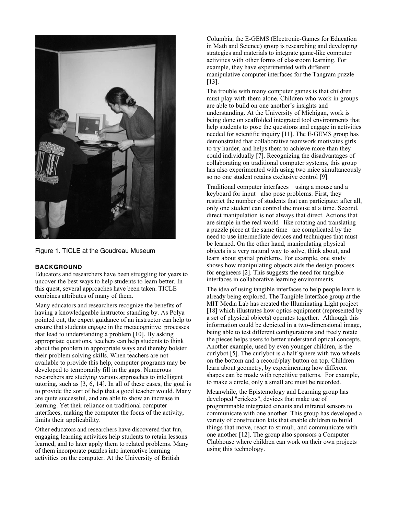

Figure 1. TICLE at the Goudreau Museum

#### **BACKGROUND**

Educators and researchers have been struggling for years to uncover the best ways to help students to learn better. In this quest, several approaches have been taken. TICLE combines attributes of many of them.

Many educators and researchers recognize the benefits of having a knowledgeable instructor standing by. As Polya pointed out, the expert guidance of an instructor can help to ensure that students engage in the metacognitive processes that lead to understanding a problem [10]. By asking appropriate questions, teachers can help students to think about the problem in appropriate ways and thereby bolster their problem solving skills. When teachers are not available to provide this help, computer programs may be developed to temporarily fill in the gaps. Numerous researchers are studying various approaches to intelligent tutoring, such as [3, 6, 14]. In all of these cases, the goal is to provide the sort of help that a good teacher would. Many are quite successful, and are able to show an increase in learning. Yet their reliance on traditional computer interfaces, making the computer the focus of the activity, limits their applicability.

Other educators and researchers have discovered that fun, engaging learning activities help students to retain lessons learned, and to later apply them to related problems. Many of them incorporate puzzles into interactive learning activities on the computer. At the University of British

Columbia, the E-GEMS (Electronic-Games for Education in Math and Science) group is researching and developing strategies and materials to integrate game-like computer activities with other forms of classroom learning. For example, they have experimented with different manipulative computer interfaces for the Tangram puzzle [13].

The trouble with many computer games is that children must play with them alone. Children who work in groups are able to build on one another's insights and understanding. At the University of Michigan, work is being done on scaffolded integrated tool environments that help students to pose the questions and engage in activities needed for scientific inquiry [11]. The E-GEMS group has demonstrated that collaborative teamwork motivates girls to try harder, and helps them to achieve more than they could individually [7]. Recognizing the disadvantages of collaborating on traditional computer systems, this group has also experimented with using two mice simultaneously so no one student retains exclusive control [9].

Traditional computer interfaces using a mouse and a keyboard for input also pose problems. First, they restrict the number of students that can participate: after all, only one student can control the mouse at a time. Second, direct manipulation is not always that direct. Actions that are simple in the real world like rotating and translating a puzzle piece at the same time are complicated by the need to use intermediate devices and techniques that must be learned. On the other hand, manipulating physical objects is a very natural way to solve, think about, and learn about spatial problems. For example, one study shows how manipulating objects aids the design process for engineers [2]. This suggests the need for tangible interfaces in collaborative learning environments.

The idea of using tangible interfaces to help people learn is already being explored. The Tangible Interface group at the MIT Media Lab has created the Illuminating Light project [18] which illustrates how optics equipment (represented by a set of physical objects) operates together. Although this information could be depicted in a two-dimensional image, being able to test different configurations and freely rotate the pieces helps users to better understand optical concepts. Another example, used by even younger children, is the curlybot [5]. The curlybot is a half sphere with two wheels on the bottom and a record/play button on top. Children learn about geometry, by experimenting how different shapes can be made with repetitive patterns. For example, to make a circle, only a small arc must be recorded.

Meanwhile, the Epistemology and Learning group has developed "crickets", devices that make use of programmable integrated circuits and infrared sensors to communicate with one another. This group has developed a variety of construction kits that enable children to build things that move, react to stimuli, and communicate with one another [12]. The group also sponsors a Computer Clubhouse where children can work on their own projects using this technology.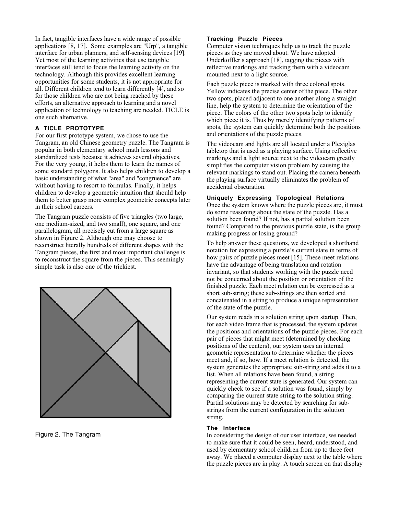In fact, tangible interfaces have a wide range of possible applications [8, 17]. Some examples are "Urp", a tangible interface for urban planners, and self-sensing devices [19]. Yet most of the learning activities that use tangible interfaces still tend to focus the learning activity on the technology. Although this provides excellent learning opportunities for some students, it is not appropriate for all. Different children tend to learn differently [4], and so for those children who are not being reached by these efforts, an alternative approach to learning and a novel application of technology to teaching are needed. TICLE is one such alternative.

#### **A TICLE PROTOTYPE**

For our first prototype system, we chose to use the Tangram, an old Chinese geometry puzzle. The Tangram is popular in both elementary school math lessons and standardized tests because it achieves several objectives. For the very young, it helps them to learn the names of some standard polygons. It also helps children to develop a basic understanding of what "area" and "congruence" are without having to resort to formulas. Finally, it helps children to develop a geometric intuition that should help them to better grasp more complex geometric concepts later in their school careers.

The Tangram puzzle consists of five triangles (two large, one medium-sized, and two small), one square, and one parallelogram, all precisely cut from a large square as shown in Figure 2. Although one may choose to reconstruct literally hundreds of different shapes with the Tangram pieces, the first and most important challenge is to reconstruct the square from the pieces. This seemingly simple task is also one of the trickiest.



Figure 2. The Tangram

#### **Tracking Puzzle Pieces**

Computer vision techniques help us to track the puzzle pieces as they are moved about. We have adopted Underkoffler s approach [18], tagging the pieces with reflective markings and tracking them with a videocam mounted next to a light source.

Each puzzle piece is marked with three colored spots. Yellow indicates the precise center of the piece. The other two spots, placed adjacent to one another along a straight line, help the system to determine the orientation of the piece. The colors of the other two spots help to identify which piece it is. Thus by merely identifying patterns of spots, the system can quickly determine both the positions and orientations of the puzzle pieces.

The videocam and lights are all located under a Plexiglas tabletop that is used as a playing surface. Using reflective markings and a light source next to the videocam greatly simplifies the computer vision problem by causing the relevant markings to stand out. Placing the camera beneath the playing surface virtually eliminates the problem of accidental obscuration.

### **Uniquely Expressing Topological Relations**

Once the system knows where the puzzle pieces are, it must do some reasoning about the state of the puzzle. Has a solution been found? If not, has a partial solution been found? Compared to the previous puzzle state, is the group making progress or losing ground?

To help answer these questions, we developed a shorthand notation for expressing a puzzle's current state in terms of how pairs of puzzle pieces meet [15]. These meet relations have the advantage of being translation and rotation invariant, so that students working with the puzzle need not be concerned about the position or orientation of the finished puzzle. Each meet relation can be expressed as a short sub-string; these sub-strings are then sorted and concatenated in a string to produce a unique representation of the state of the puzzle.

Our system reads in a solution string upon startup. Then, for each video frame that is processed, the system updates the positions and orientations of the puzzle pieces. For each pair of pieces that might meet (determined by checking positions of the centers), our system uses an internal geometric representation to determine whether the pieces meet and, if so, how. If a meet relation is detected, the system generates the appropriate sub-string and adds it to a list. When all relations have been found, a string representing the current state is generated. Our system can quickly check to see if a solution was found, simply by comparing the current state string to the solution string. Partial solutions may be detected by searching for substrings from the current configuration in the solution string.

#### **The Interface**

In considering the design of our user interface, we needed to make sure that it could be seen, heard, understood, and used by elementary school children from up to three feet away. We placed a computer display next to the table where the puzzle pieces are in play. A touch screen on that display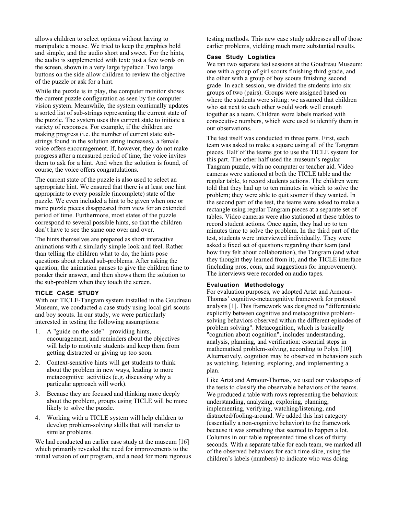allows children to select options without having to manipulate a mouse. We tried to keep the graphics bold and simple, and the audio short and sweet. For the hints, the audio is supplemented with text: just a few words on the screen, shown in a very large typeface. Two large buttons on the side allow children to review the objective of the puzzle or ask for a hint.

While the puzzle is in play, the computer monitor shows the current puzzle configuration as seen by the computer vision system. Meanwhile, the system continually updates a sorted list of sub-strings representing the current state of the puzzle. The system uses this current state to initiate a variety of responses. For example, if the children are making progress (i.e. the number of current state substrings found in the solution string increases), a female voice offers encouragement. If, however, they do not make progress after a measured period of time, the voice invites them to ask for a hint. And when the solution is found, of course, the voice offers congratulations.

The current state of the puzzle is also used to select an appropriate hint. We ensured that there is at least one hint appropriate to every possible (incomplete) state of the puzzle. We even included a hint to be given when one or more puzzle pieces disappeared from view for an extended period of time. Furthermore, most states of the puzzle correspond to several possible hints, so that the children don't have to see the same one over and over.

The hints themselves are prepared as short interactive animations with a similarly simple look and feel. Rather than telling the children what to do, the hints pose questions about related sub-problems. After asking the question, the animation pauses to give the children time to ponder their answer, and then shows them the solution to the sub-problem when they touch the screen.

### **TICLE CASE STUDY**

With our TICLE-Tangram system installed in the Goudreau Museum, we conducted a case study using local girl scouts and boy scouts. In our study, we were particularly interested in testing the following assumptions:

- 1. A "guide on the side" providing hints, encouragement, and reminders about the objectives will help to motivate students and keep them from getting distracted or giving up too soon.
- 2. Context-sensitive hints will get students to think about the problem in new ways, leading to more metacognitive activities (e.g. discussing why a particular approach will work).
- 3. Because they are focused and thinking more deeply about the problem, groups using TICLE will be more likely to solve the puzzle.
- 4. Working with a TICLE system will help children to develop problem-solving skills that will transfer to similar problems.

We had conducted an earlier case study at the museum [16] which primarily revealed the need for improvements to the initial version of our program, and a need for more rigorous testing methods. This new case study addresses all of those earlier problems, yielding much more substantial results.

#### **Case Study Logistics**

We ran two separate test sessions at the Goudreau Museum: one with a group of girl scouts finishing third grade, and the other with a group of boy scouts finishing second grade. In each session, we divided the students into six groups of two (pairs). Groups were assigned based on where the students were sitting: we assumed that children who sat next to each other would work well enough together as a team. Children wore labels marked with consecutive numbers, which were used to identify them in our observations.

The test itself was conducted in three parts. First, each team was asked to make a square using all of the Tangram pieces. Half of the teams got to use the TICLE system for this part. The other half used the museum's regular Tangram puzzle, with no computer or teacher aid. Video cameras were stationed at both the TICLE table and the regular table, to record students actions. The children were told that they had up to ten minutes in which to solve the problem; they were able to quit sooner if they wanted. In the second part of the test, the teams were asked to make a rectangle using regular Tangram pieces at a separate set of tables. Video cameras were also stationed at these tables to record student actions. Once again, they had up to ten minutes time to solve the problem. In the third part of the test, students were interviewed individually. They were asked a fixed set of questions regarding their team (and how they felt about collaboration), the Tangram (and what they thought they learned from it), and the TICLE interface (including pros, cons, and suggestions for improvement). The interviews were recorded on audio tapes.

#### **Evaluation Methodology**

For evaluation purposes, we adopted Artzt and Armour-Thomas' cognitive-metacognitive framework for protocol analysis [1]. This framework was designed to "differentiate explicitly between cognitive and metacognitive problemsolving behaviors observed within the different episodes of problem solving". Metacognition, which is basically "cognition about cognition", includes understanding, analysis, planning, and verification: essential steps in mathematical problem-solving, according to Polya [10]. Alternatively, cognition may be observed in behaviors such as watching, listening, exploring, and implementing a plan.

Like Artzt and Armour-Thomas, we used our videotapes of the tests to classify the observable behaviors of the teams. We produced a table with rows representing the behaviors: understanding, analyzing, exploring, planning, implementing, verifying, watching/listening, and distracted/fooling-around. We added this last category (essentially a non-cognitive behavior) to the framework because it was something that seemed to happen a lot. Columns in our table represented time slices of thirty seconds. With a separate table for each team, we marked all of the observed behaviors for each time slice, using the children's labels (numbers) to indicate who was doing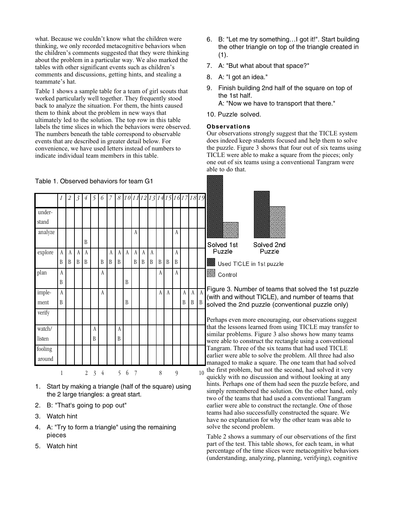what. Because we couldn't know what the children were thinking, we only recorded metacognitive behaviors when the children's comments suggested that they were thinking about the problem in a particular way. We also marked the tables with other significant events such as children's comments and discussions, getting hints, and stealing a teammate's hat.

Table 1 shows a sample table for a team of girl scouts that worked particularly well together. They frequently stood back to analyze the situation. For them, the hints caused them to think about the problem in new ways that ultimately led to the solution. The top row in this table labels the time slices in which the behaviors were observed. The numbers beneath the table correspond to observable events that are described in greater detail below. For convenience, we have used letters instead of numbers to indicate individual team members in this table.

#### Table 1. Observed behaviors for team G1

|                   | 1           | $\boldsymbol{2}$ | $\mathfrak{Z}$ | 4              | 5              | 6              | 7 | $\boldsymbol{\mathcal{S}}$ |   |                |                       |   |   |   |   |   |   | 10 11 12 13 14 15 16 17 18 19 |
|-------------------|-------------|------------------|----------------|----------------|----------------|----------------|---|----------------------------|---|----------------|-----------------------|---|---|---|---|---|---|-------------------------------|
| under-<br>stand   |             |                  |                |                |                |                |   |                            |   |                |                       |   |   |   |   |   |   |                               |
| analyze           |             |                  |                | B              |                |                |   |                            |   | A              |                       |   |   |   | A |   |   |                               |
| explore           | A           | A                | A              | A              |                |                | A | A                          | A | A              | $\boldsymbol{\rm{A}}$ | A |   |   | A |   |   |                               |
|                   | B           | B                | B              | B              |                | B              | B | B                          |   | B              | B                     | B | B | B | B |   |   |                               |
| plan              | A           |                  |                |                |                | A              |   |                            |   |                |                       |   | A |   | A |   |   |                               |
|                   | B           |                  |                |                |                |                |   |                            | B |                |                       |   |   |   |   |   |   |                               |
| imple-            | A           |                  |                |                |                | A              |   |                            |   |                |                       |   | A | A |   | A | A | $\boldsymbol{\rm{A}}$         |
| ment              | B           |                  |                |                |                |                |   |                            | B |                |                       |   |   |   |   | B | B | $\, {\bf B}$                  |
| verify            |             |                  |                |                |                |                |   |                            |   |                |                       |   |   |   |   |   |   |                               |
| watch/            |             |                  |                |                | A              |                |   | A                          |   |                |                       |   |   |   |   |   |   |                               |
| listen            |             |                  |                |                | B              |                |   | B                          |   |                |                       |   |   |   |   |   |   |                               |
| fooling<br>around |             |                  |                |                |                |                |   |                            |   |                |                       |   |   |   |   |   |   |                               |
|                   | $\mathbf 1$ |                  |                | $\overline{2}$ | $\overline{3}$ | $\overline{4}$ |   | 5                          | 6 | $\overline{7}$ |                       |   | 8 |   | 9 |   |   | $10\,$                        |

- 1. Start by making a triangle (half of the square) using the 2 large triangles: a great start.
- 2. B: "That's going to pop out"
- 3. Watch hint
- 4. A: "Try to form a triangle" using the remaining pieces
- 5. Watch hint
- 6. B: "Let me try something…I got it!". Start building the other triangle on top of the triangle created in (1).
- 7. A: "But what about that space?"
- 8. A: "I got an idea."
- 9. Finish building 2nd half of the square on top of the 1st half.

A: "Now we have to transport that there."

10. Puzzle solved.

# **Observations**

Our observations strongly suggest that the TICLE system does indeed keep students focused and help them to solve the puzzle. Figure 3 shows that four out of six teams using TICLE were able to make a square from the pieces; only one out of six teams using a conventional Tangram were able to do that.



Control

Figure 3. Number of teams that solved the 1st puzzle (with and without TICLE), and number of teams that solved the 2nd puzzle (conventional puzzle only)

Perhaps even more encouraging, our observations suggest that the lessons learned from using TICLE may transfer to similar problems. Figure 3 also shows how many teams were able to construct the rectangle using a conventional Tangram. Three of the six teams that had used TICLE earlier were able to solve the problem. All three had also managed to make a square. The one team that had solved the first problem, but not the second, had solved it very quickly with no discussion and without looking at any hints. Perhaps one of them had seen the puzzle before, and simply remembered the solution. On the other hand, only two of the teams that had used a conventional Tangram earlier were able to construct the rectangle. One of those teams had also successfully constructed the square. We have no explanation for why the other team was able to solve the second problem.

Table 2 shows a summary of our observations of the first part of the test. This table shows, for each team, in what percentage of the time slices were metacognitive behaviors (understanding, analyzing, planning, verifying), cognitive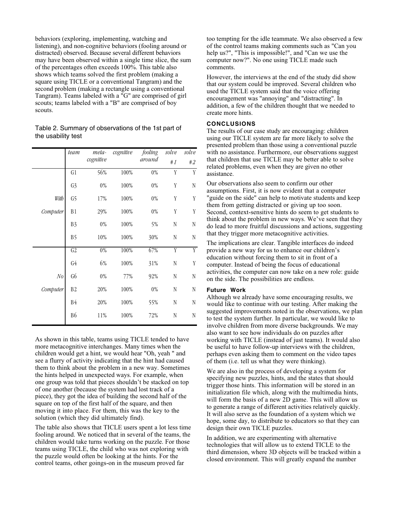behaviors (exploring, implementing, watching and listening), and non-cognitive behaviors (fooling around or distracted) observed. Because several different behaviors may have been observed within a single time slice, the sum of the percentages often exceeds 100%. This table also shows which teams solved the first problem (making a square using TICLE or a conventional Tangram) and the second problem (making a rectangle using a conventional Tangram). Teams labeled with a "G" are comprised of girl scouts; teams labeled with a "B" are comprised of boy scouts.

#### Table 2. Summary of observations of the 1st part of the usability test

|                | team            | meta-     | cognitive | fooling | solve   | solve                   |
|----------------|-----------------|-----------|-----------|---------|---------|-------------------------|
|                |                 | cognitive |           | around  | # $1$   | # $\overline{2}$        |
|                | G1              | 56%       | 100%      | $0\%$   | Y       | Y                       |
|                | G3              | $0\%$     | 100%      | 0%      | Y       | ${\rm N}$               |
| With           | G5              | 17%       | 100%      | $0\%$   | Y       | $\mathbf Y$             |
| Computer       | B1              | 29%       | 100%      | $0\%$   | Y       | $\mathbf Y$             |
|                | B3              | $0\%$     | 100%      | 5%      | $\rm N$ | $\mathbf N$             |
|                | B <sub>5</sub>  | 10%       | 100%      | 30%     | N       | $\rm N$                 |
|                | $\overline{G2}$ | $0\%$     | 100%      | 67%     | Y       | Y                       |
|                | G4              | $6\%$     | 100%      | 31%     | N       | $\mathbf Y$             |
| N <sub>0</sub> | G6              | $0\%$     | 77%       | 92%     | N       | $\mathbf N$             |
| Computer       | B <sub>2</sub>  | 20%       | 100%      | $0\%$   | N       | N                       |
|                | B4              | 20%       | 100%      | 55%     | N       | $\ensuremath{\text{N}}$ |
|                | <b>B6</b>       | 11%       | 100%      | 72%     | N       | $\ensuremath{\text{N}}$ |

As shown in this table, teams using TICLE tended to have more metacognitive interchanges. Many times when the children would get a hint, we would hear "Oh, yeah " and see a flurry of activity indicating that the hint had caused them to think about the problem in a new way. Sometimes the hints helped in unexpected ways. For example, when one group was told that pieces shouldn't be stacked on top of one another (because the system had lost track of a piece), they got the idea of building the second half of the square on top of the first half of the square, and then moving it into place. For them, this was the key to the solution (which they did ultimately find).

The table also shows that TICLE users spent a lot less time fooling around. We noticed that in several of the teams, the children would take turns working on the puzzle. For those teams using TICLE, the child who was not exploring with the puzzle would often be looking at the hints. For the control teams, other goings-on in the museum proved far

too tempting for the idle teammate. We also observed a few of the control teams making comments such as "Can you help us?", "This is impossible!", and "Can we use the computer now?". No one using TICLE made such comments.

However, the interviews at the end of the study did show that our system could be improved. Several children who used the TICLE system said that the voice offering encouragement was "annoying" and "distracting". In addition, a few of the children thought that we needed to create more hints.

#### **CONCLUSIONS**

The results of our case study are encouraging: children using our TICLE system are far more likely to solve the presented problem than those using a conventional puzzle with no assistance. Furthermore, our observations suggest that children that use TICLE may be better able to solve related problems, even when they are given no other assistance.

Our observations also seem to confirm our other assumptions. First, it is now evident that a computer "guide on the side" can help to motivate students and keep them from getting distracted or giving up too soon. Second, context-sensitive hints do seem to get students to think about the problem in new ways. We've seen that they do lead to more fruitful discussions and actions, suggesting that they trigger more metacognitive activities.

The implications are clear. Tangible interfaces do indeed provide a new way for us to enhance our children's education without forcing them to sit in front of a computer. Instead of being the focus of educational activities, the computer can now take on a new role: guide on the side. The possibilities are endless.

#### **Future Work**

Although we already have some encouraging results, we would like to continue with our testing. After making the suggested improvements noted in the observations, we plan to test the system further. In particular, we would like to involve children from more diverse backgrounds. We may also want to see how individuals do on puzzles after working with TICLE (instead of just teams). It would also be useful to have follow-up interviews with the children, perhaps even asking them to comment on the video tapes of them (i.e. tell us what they were thinking).

We are also in the process of developing a system for specifying new puzzles, hints, and the states that should trigger those hints. This information will be stored in an initialization file which, along with the multimedia hints, will form the basis of a new 2D game. This will allow us to generate a range of different activities relatively quickly. It will also serve as the foundation of a system which we hope, some day, to distribute to educators so that they can design their own TICLE puzzles.

In addition, we are experimenting with alternative technologies that will allow us to extend TICLE to the third dimension, where 3D objects will be tracked within a closed environment. This will greatly expand the number